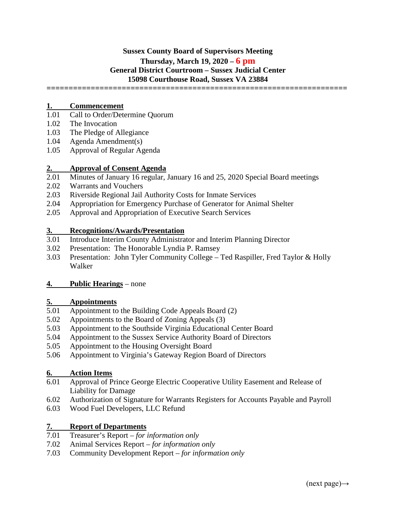# **Sussex County Board of Supervisors Meeting Thursday, March 19, 2020 – 6 pm General District Courtroom – Sussex Judicial Center 15098 Courthouse Road, Sussex VA 23884**

**====================================================================**

### **1. Commencement**

- 1.01 Call to Order/Determine Quorum
- 1.02 The Invocation
- 1.03 The Pledge of Allegiance
- 1.04 Agenda Amendment(s)
- 1.05 Approval of Regular Agenda

# 2. **Approval of Consent Agenda**<br>2.01 Minutes of January 16 regular,

- Minutes of January 16 regular, January 16 and 25, 2020 Special Board meetings
- 2.02 Warrants and Vouchers
- 2.03 Riverside Regional Jail Authority Costs for Inmate Services
- 2.04 Appropriation for Emergency Purchase of Generator for Animal Shelter
- 2.05 Approval and Appropriation of Executive Search Services

#### **3. Recognitions/Awards/Presentation**

- 3.01 Introduce Interim County Administrator and Interim Planning Director
- 3.02 Presentation: The Honorable Lyndia P. Ramsey
- 3.03 Presentation: John Tyler Community College Ted Raspiller, Fred Taylor & Holly Walker

#### **4. Public Hearings** – none

# **5. Appointments**

- Appointment to the Building Code Appeals Board (2)
- 5.02 Appointments to the Board of Zoning Appeals (3)
- 5.03 Appointment to the Southside Virginia Educational Center Board
- 5.04 Appointment to the Sussex Service Authority Board of Directors
- 5.05 Appointment to the Housing Oversight Board
- 5.06 Appointment to Virginia's Gateway Region Board of Directors

#### **6. Action Items**

- 6.01 Approval of Prince George Electric Cooperative Utility Easement and Release of Liability for Damage
- 6.02 Authorization of Signature for Warrants Registers for Accounts Payable and Payroll
- 6.03 Wood Fuel Developers, LLC Refund

## **7. Report of Departments**

- 7.01 Treasurer's Report *for information only*
- 7.02 Animal Services Report *for information only*
- 7.03 Community Development Report *for information only*